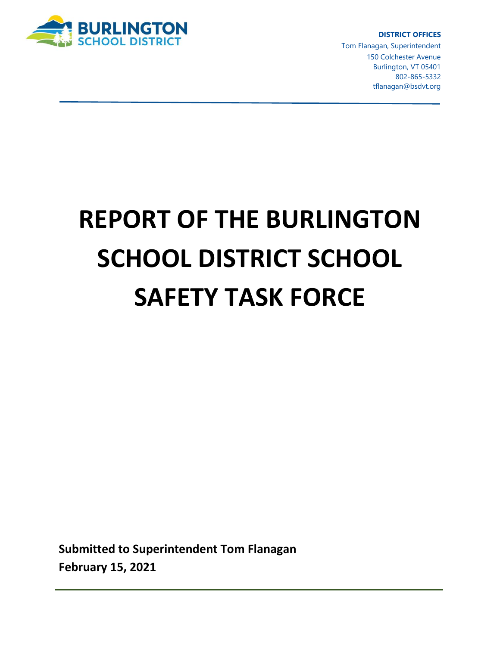

**DISTRICT OFFICES**

Tom Flanagan, Superintendent 150 Colchester Avenue Burlington, VT 05401 802-865-5332 tflanagan@bsdvt.org

# **REPORT OF THE BURLINGTON SCHOOL DISTRICT SCHOOL SAFETY TASK FORCE**

**Submitted to Superintendent Tom Flanagan February 15, 2021**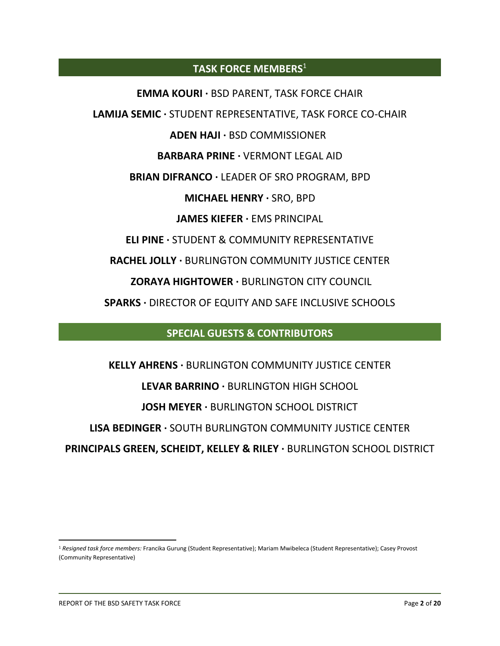# **TASK FORCE MEMBERS**<sup>1</sup>

**EMMA KOURI ·** BSD PARENT, TASK FORCE CHAIR **LAMIJA SEMIC ·** STUDENT REPRESENTATIVE, TASK FORCE CO-CHAIR **ADEN HAJI ·** BSD COMMISSIONER<sup>1</sup> **BARBARA PRINE ·** VERMONT LEGAL AID **BRIAN DIFRANCO ·** LEADER OF SRO PROGRAM, BPD **MICHAEL HENRY ·** SRO, BPD **JAMES KIEFER ·** EMS PRINCIPAL **ELI PINE ·** STUDENT & COMMUNITY REPRESENTATIVE **RACHEL JOLLY ·** BURLINGTON COMMUNITY JUSTICE CENTER **ZORAYA HIGHTOWER ·** BURLINGTON CITY COUNCIL

**SPARKS ·** DIRECTOR OF EQUITY AND SAFE INCLUSIVE SCHOOLS

# **SPECIAL GUESTS & CONTRIBUTORS**

**KELLY AHRENS ·** BURLINGTON COMMUNITY JUSTICE CENTER **LEVAR BARRINO ·** BURLINGTON HIGH SCHOOL **JOSH MEYER ·** BURLINGTON SCHOOL DISTRICT **LISA BEDINGER ·** SOUTH BURLINGTON COMMUNITY JUSTICE CENTER **PRINCIPALS GREEN, SCHEIDT, KELLEY & RILEY ·** BURLINGTON SCHOOL DISTRICT

<sup>1</sup> *Resigned task force members:* Francika Gurung (Student Representative); Mariam Mwibeleca (Student Representative); Casey Provost (Community Representative)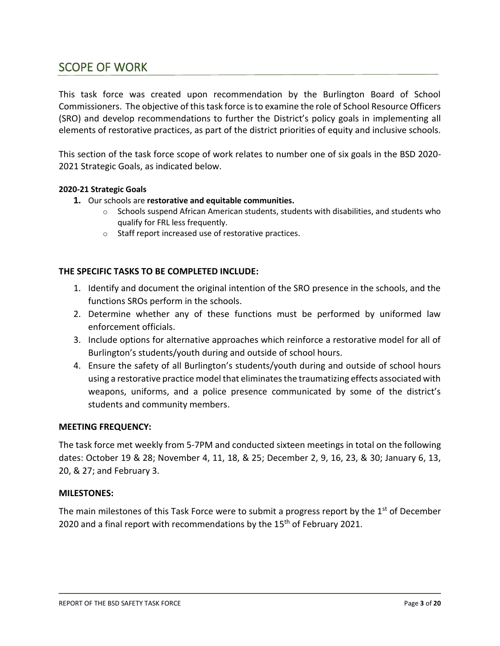# SCOPE OF WORK

This task force was created upon recommendation by the Burlington Board of School Commissioners. The objective of this task force is to examine the role of School Resource Officers (SRO) and develop recommendations to further the District's policy goals in implementing all elements of restorative practices, as part of the district priorities of equity and inclusive schools.

This section of the task force scope of work relates to number one of six goals in the BSD 2020- 2021 Strategic Goals, as indicated below.

#### **2020-21 Strategic Goals**

- **1.** Our schools are **restorative and equitable communities.**
	- $\circ$  Schools suspend African American students, students with disabilities, and students who qualify for FRL less frequently.
	- o Staff report increased use of restorative practices.

#### **THE SPECIFIC TASKS TO BE COMPLETED INCLUDE:**

- 1. Identify and document the original intention of the SRO presence in the schools, and the functions SROs perform in the schools.
- 2. Determine whether any of these functions must be performed by uniformed law enforcement officials.
- 3. Include options for alternative approaches which reinforce a restorative model for all of Burlington's students/youth during and outside of school hours.
- 4. Ensure the safety of all Burlington's students/youth during and outside of school hours using a restorative practice model that eliminates the traumatizing effects associated with weapons, uniforms, and a police presence communicated by some of the district's students and community members.

#### **MEETING FREQUENCY:**

The task force met weekly from 5-7PM and conducted sixteen meetings in total on the following dates: October 19 & 28; November 4, 11, 18, & 25; December 2, 9, 16, 23, & 30; January 6, 13, 20, & 27; and February 3.

#### **MILESTONES:**

The main milestones of this Task Force were to submit a progress report by the 1<sup>st</sup> of December 2020 and a final report with recommendations by the 15<sup>th</sup> of February 2021.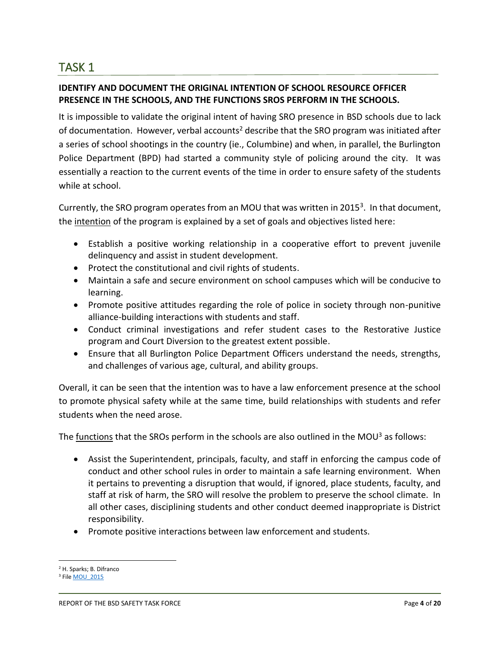# **IDENTIFY AND DOCUMENT THE ORIGINAL INTENTION OF SCHOOL RESOURCE OFFICER PRESENCE IN THE SCHOOLS, AND THE FUNCTIONS SROS PERFORM IN THE SCHOOLS.**

It is impossible to validate the original intent of having SRO presence in BSD schools due to lack of documentation. However, verbal accounts<sup>2</sup> describe that the SRO program was initiated after a series of school shootings in the country (ie., Columbine) and when, in parallel, the Burlington Police Department (BPD) had started a community style of policing around the city. It was essentially a reaction to the current events of the time in order to ensure safety of the students while at school.

Currently, the SRO program operates from an MOU that was written in 2015<sup>3</sup>. In that document, the intention of the program is explained by a set of goals and objectives listed here:

- Establish a positive working relationship in a cooperative effort to prevent juvenile delinquency and assist in student development.
- Protect the constitutional and civil rights of students.
- Maintain a safe and secure environment on school campuses which will be conducive to learning.
- Promote positive attitudes regarding the role of police in society through non-punitive alliance-building interactions with students and staff.
- Conduct criminal investigations and refer student cases to the Restorative Justice program and Court Diversion to the greatest extent possible.
- Ensure that all Burlington Police Department Officers understand the needs, strengths, and challenges of various age, cultural, and ability groups.

Overall, it can be seen that the intention was to have a law enforcement presence at the school to promote physical safety while at the same time, build relationships with students and refer students when the need arose.

The functions that the SROs perform in the schools are also outlined in the MOU<sup>3</sup> as follows:

- Assist the Superintendent, principals, faculty, and staff in enforcing the campus code of conduct and other school rules in order to maintain a safe learning environment. When it pertains to preventing a disruption that would, if ignored, place students, faculty, and staff at risk of harm, the SRO will resolve the problem to preserve the school climate. In all other cases, disciplining students and other conduct deemed inappropriate is District responsibility.
- Promote positive interactions between law enforcement and students.

<sup>2</sup> H. Sparks; B. Difranco

<sup>&</sup>lt;sup>3</sup> File MOU 2015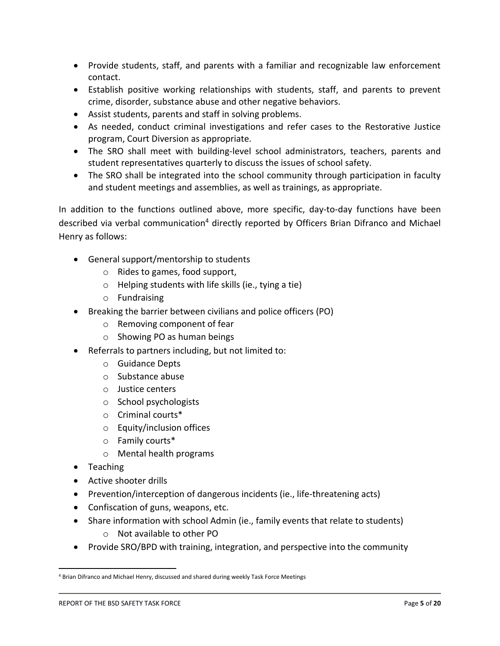- Provide students, staff, and parents with a familiar and recognizable law enforcement contact.
- Establish positive working relationships with students, staff, and parents to prevent crime, disorder, substance abuse and other negative behaviors.
- Assist students, parents and staff in solving problems.
- As needed, conduct criminal investigations and refer cases to the Restorative Justice program, Court Diversion as appropriate.
- The SRO shall meet with building-level school administrators, teachers, parents and student representatives quarterly to discuss the issues of school safety.
- The SRO shall be integrated into the school community through participation in faculty and student meetings and assemblies, as well as trainings, as appropriate.

In addition to the functions outlined above, more specific, day-to-day functions have been described via verbal communication<sup>4</sup> directly reported by Officers Brian Difranco and Michael Henry as follows:

- General support/mentorship to students
	- o Rides to games, food support,
	- o Helping students with life skills (ie., tying a tie)
	- o Fundraising
- Breaking the barrier between civilians and police officers (PO)
	- o Removing component of fear
	- o Showing PO as human beings
- Referrals to partners including, but not limited to:
	- o Guidance Depts
	- o Substance abuse
	- o Justice centers
	- o School psychologists
	- o Criminal courts\*
	- o Equity/inclusion offices
	- o Family courts\*
	- o Mental health programs
- Teaching
- Active shooter drills
- Prevention/interception of dangerous incidents (ie., life-threatening acts)
- Confiscation of guns, weapons, etc.
- Share information with school Admin (ie., family events that relate to students)
	- o Not available to other PO
- Provide SRO/BPD with training, integration, and perspective into the community

<sup>4</sup> Brian Difranco and Michael Henry, discussed and shared during weekly Task Force Meetings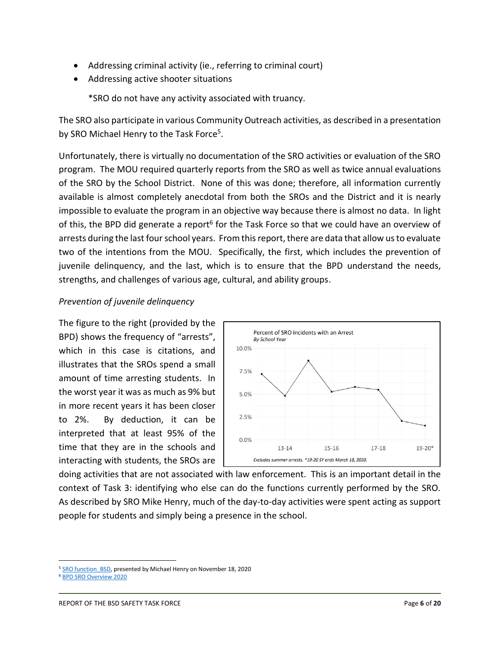- Addressing criminal activity (ie., referring to criminal court)
- Addressing active shooter situations

\*SRO do not have any activity associated with truancy.

The SRO also participate in various Community Outreach activities, as described in a presentation by SRO Michael Henry to the Task Force<sup>5</sup>.

Unfortunately, there is virtually no documentation of the SRO activities or evaluation of the SRO program. The MOU required quarterly reports from the SRO as well as twice annual evaluations of the SRO by the School District. None of this was done; therefore, all information currently available is almost completely anecdotal from both the SROs and the District and it is nearly impossible to evaluate the program in an objective way because there is almost no data. In light of this, the BPD did generate a report<sup>6</sup> for the Task Force so that we could have an overview of arrests during the last four school years. From this report, there are data that allow us to evaluate two of the intentions from the MOU. Specifically, the first, which includes the prevention of juvenile delinquency, and the last, which is to ensure that the BPD understand the needs, strengths, and challenges of various age, cultural, and ability groups.

## *Prevention of juvenile delinquency*

The figure to the right (provided by the BPD) shows the frequency of "arrests", which in this case is citations, and illustrates that the SROs spend a small amount of time arresting students. In the worst year it was as much as 9% but in more recent years it has been closer to 2%. By deduction, it can be interpreted that at least 95% of the time that they are in the schools and interacting with students, the SROs are



doing activities that are not associated with law enforcement. This is an important detail in the context of Task 3: identifying who else can do the functions currently performed by the SRO. As described by SRO Mike Henry, much of the day-to-day activities were spent acting as support people for students and simply being a presence in the school.

<sup>&</sup>lt;sup>5</sup> [SRO function\\_BSD,](https://drive.google.com/open?id=1gRJH9vayGhJom5H54GuuEsV0HBF-M66k) presented by Michael Henry on November 18, 2020

<sup>6</sup> [BPD SRO Overview 2020](https://drive.google.com/file/d/1olosjPHYtG0ykRFvGwlOgNX0lYuenwUx/view?usp=sharing)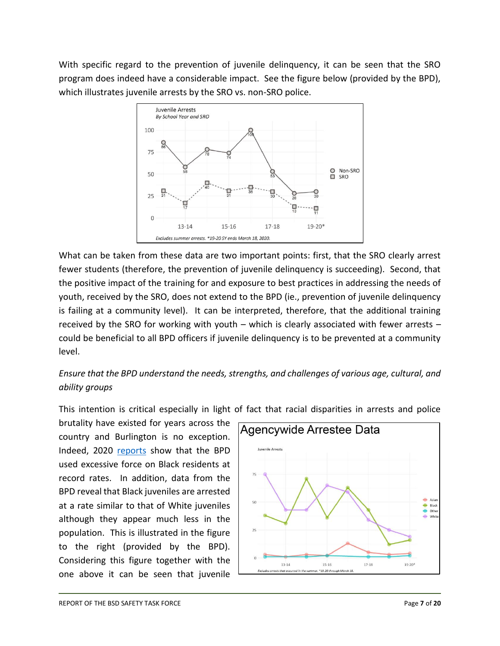With specific regard to the prevention of juvenile delinquency, it can be seen that the SRO program does indeed have a considerable impact. See the figure below (provided by the BPD), which illustrates juvenile arrests by the SRO vs. non-SRO police.



What can be taken from these data are two important points: first, that the SRO clearly arrest fewer students (therefore, the prevention of juvenile delinquency is succeeding). Second, that the positive impact of the training for and exposure to best practices in addressing the needs of youth, received by the SRO, does not extend to the BPD (ie., prevention of juvenile delinquency is failing at a community level). It can be interpreted, therefore, that the additional training received by the SRO for working with youth – which is clearly associated with fewer arrests – could be beneficial to all BPD officers if juvenile delinquency is to be prevented at a community level.

# *Ensure that the BPD understand the needs, strengths, and challenges of various age, cultural, and ability groups*

This intention is critical especially in light of fact that racial disparities in arrests and police

brutality have existed for years across the country and Burlington is no exception. Indeed, 2020 [reports](https://vtdigger.org/2019/11/15/bpd-disproportionately-used-force-on-black-residents-new-report-shows/) show that the BPD used excessive force on Black residents at record rates. In addition, data from the BPD reveal that Black juveniles are arrested at a rate similar to that of White juveniles although they appear much less in the population. This is illustrated in the figure to the right (provided by the BPD). Considering this figure together with the one above it can be seen that juvenile

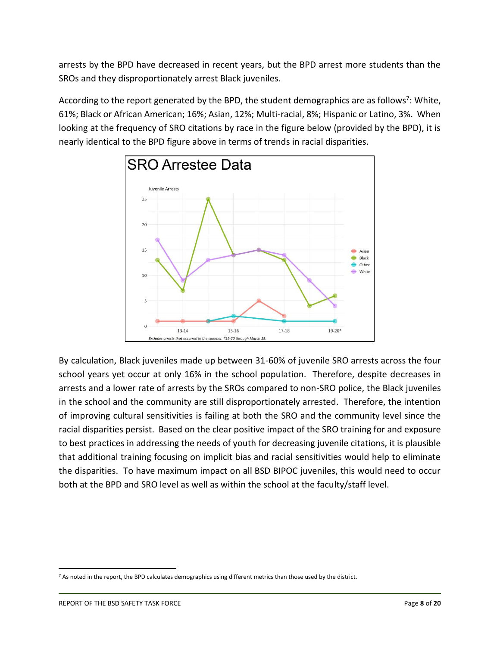arrests by the BPD have decreased in recent years, but the BPD arrest more students than the SROs and they disproportionately arrest Black juveniles.

According to the report generated by the BPD, the student demographics are as follows<sup>7</sup>: White, 61%; Black or African American; 16%; Asian, 12%; Multi-racial, 8%; Hispanic or Latino, 3%. When looking at the frequency of SRO citations by race in the figure below (provided by the BPD), it is nearly identical to the BPD figure above in terms of trends in racial disparities.



By calculation, Black juveniles made up between 31-60% of juvenile SRO arrests across the four school years yet occur at only 16% in the school population. Therefore, despite decreases in arrests and a lower rate of arrests by the SROs compared to non-SRO police, the Black juveniles in the school and the community are still disproportionately arrested. Therefore, the intention of improving cultural sensitivities is failing at both the SRO and the community level since the racial disparities persist. Based on the clear positive impact of the SRO training for and exposure to best practices in addressing the needs of youth for decreasing juvenile citations, it is plausible that additional training focusing on implicit bias and racial sensitivities would help to eliminate the disparities. To have maximum impact on all BSD BIPOC juveniles, this would need to occur both at the BPD and SRO level as well as within the school at the faculty/staff level.

 $7$  As noted in the report, the BPD calculates demographics using different metrics than those used by the district.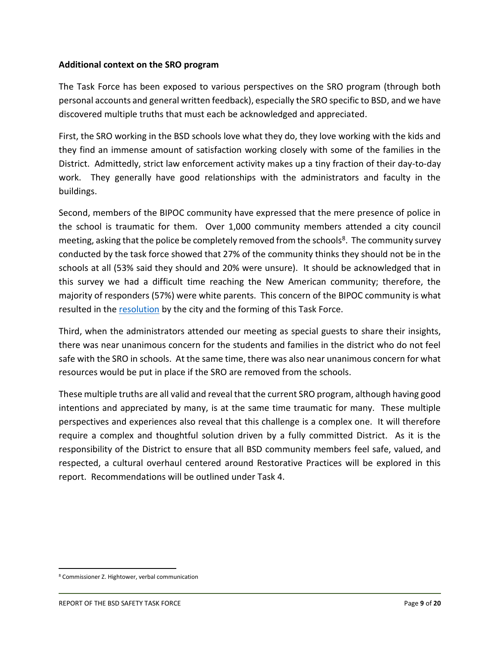### **Additional context on the SRO program**

The Task Force has been exposed to various perspectives on the SRO program (through both personal accounts and general written feedback), especially the SRO specific to BSD, and we have discovered multiple truths that must each be acknowledged and appreciated.

First, the SRO working in the BSD schools love what they do, they love working with the kids and they find an immense amount of satisfaction working closely with some of the families in the District. Admittedly, strict law enforcement activity makes up a tiny fraction of their day-to-day work. They generally have good relationships with the administrators and faculty in the buildings.

Second, members of the BIPOC community have expressed that the mere presence of police in the school is traumatic for them. Over 1,000 community members attended a city council meeting, asking that the police be completely removed from the schools<sup>8</sup>. The community survey conducted by the task force showed that 27% of the community thinks they should not be in the schools at all (53% said they should and 20% were unsure). It should be acknowledged that in this survey we had a difficult time reaching the New American community; therefore, the majority of responders (57%) were white parents. This concern of the BIPOC community is what resulted in th[e resolution](https://docs.google.com/document/d/1YhTIlw13sCW4FeSSsB2xhBqIy9ZnLWx_tY6bMRGyXps/edit?ts=60257759) by the city and the forming of this Task Force.

Third, when the administrators attended our meeting as special guests to share their insights, there was near unanimous concern for the students and families in the district who do not feel safe with the SRO in schools. At the same time, there was also near unanimous concern for what resources would be put in place if the SRO are removed from the schools.

These multiple truths are all valid and reveal that the current SRO program, although having good intentions and appreciated by many, is at the same time traumatic for many. These multiple perspectives and experiences also reveal that this challenge is a complex one. It will therefore require a complex and thoughtful solution driven by a fully committed District. As it is the responsibility of the District to ensure that all BSD community members feel safe, valued, and respected, a cultural overhaul centered around Restorative Practices will be explored in this report. Recommendations will be outlined under Task 4.

<sup>8</sup> Commissioner Z. Hightower, verbal communication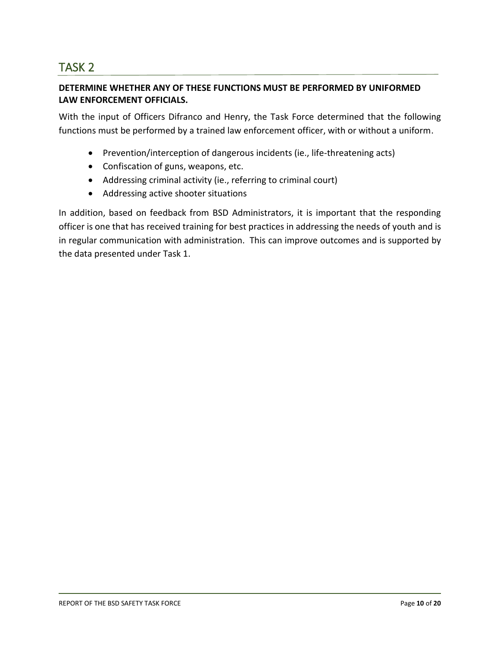# **DETERMINE WHETHER ANY OF THESE FUNCTIONS MUST BE PERFORMED BY UNIFORMED LAW ENFORCEMENT OFFICIALS.**

With the input of Officers Difranco and Henry, the Task Force determined that the following functions must be performed by a trained law enforcement officer, with or without a uniform.

- Prevention/interception of dangerous incidents (ie., life-threatening acts)
- Confiscation of guns, weapons, etc.
- Addressing criminal activity (ie., referring to criminal court)
- Addressing active shooter situations

In addition, based on feedback from BSD Administrators, it is important that the responding officer is one that has received training for best practices in addressing the needs of youth and is in regular communication with administration. This can improve outcomes and is supported by the data presented under Task 1.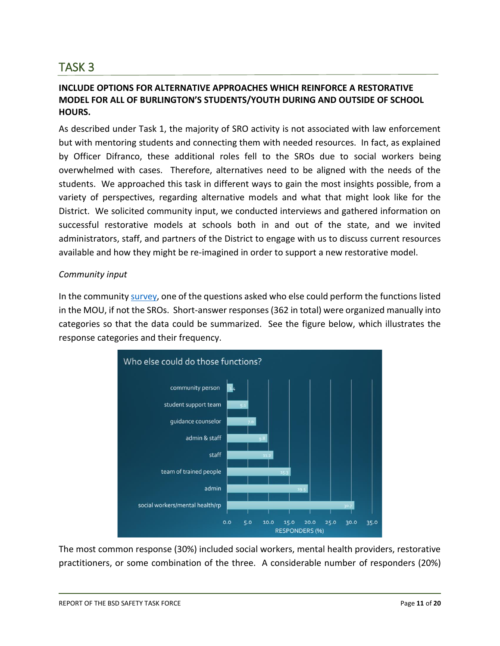# **INCLUDE OPTIONS FOR ALTERNATIVE APPROACHES WHICH REINFORCE A RESTORATIVE MODEL FOR ALL OF BURLINGTON'S STUDENTS/YOUTH DURING AND OUTSIDE OF SCHOOL HOURS.**

As described under Task 1, the majority of SRO activity is not associated with law enforcement but with mentoring students and connecting them with needed resources. In fact, as explained by Officer Difranco, these additional roles fell to the SROs due to social workers being overwhelmed with cases. Therefore, alternatives need to be aligned with the needs of the students. We approached this task in different ways to gain the most insights possible, from a variety of perspectives, regarding alternative models and what that might look like for the District. We solicited community input, we conducted interviews and gathered information on successful restorative models at schools both in and out of the state, and we invited administrators, staff, and partners of the District to engage with us to discuss current resources available and how they might be re-imagined in order to support a new restorative model.

#### *Community input*

In the community [survey,](https://docs.google.com/forms/d/1DxJip6r6xSFZ4feC0xGHlmJCwkjD9a8gdLrP7kDdAo4/edit) one of the questions asked who else could perform the functions listed in the MOU, if not the SROs. Short-answer responses (362 in total) were organized manually into categories so that the data could be summarized. See the figure below, which illustrates the response categories and their frequency.



The most common response (30%) included social workers, mental health providers, restorative practitioners, or some combination of the three. A considerable number of responders (20%)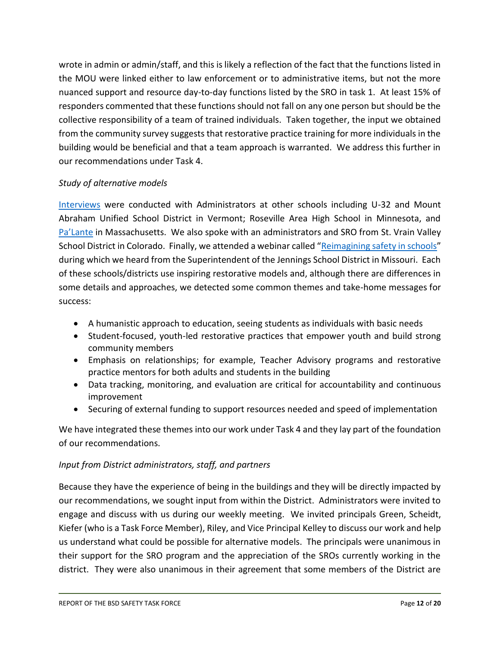wrote in admin or admin/staff, and this is likely a reflection of the fact that the functions listed in the MOU were linked either to law enforcement or to administrative items, but not the more nuanced support and resource day-to-day functions listed by the SRO in task 1. At least 15% of responders commented that these functions should not fall on any one person but should be the collective responsibility of a team of trained individuals. Taken together, the input we obtained from the community survey suggests that restorative practice training for more individuals in the building would be beneficial and that a team approach is warranted. We address this further in our recommendations under Task 4.

# *Study of alternative models*

[Interviews](https://docs.google.com/document/d/1taIXG9iXOLm3O3Nbfvjl2Yo3UM3-ez3PU8kxe45kJg4/edit?usp=sharing) were conducted with Administrators at other schools including U-32 and Mount Abraham Unified School District in Vermont; Roseville Area High School in Minnesota, and [Pa'Lante](https://palanteholyoke.org/) in Massachusetts. We also spoke with an administrators and SRO from St. Vrain Valley School District in Colorado. Finally, we attended a webinar called "[Reimagining safety in schools](https://www.clasp.org/publications/presentation/webinar/criminalization-healing-reimagining-safety-schools)" during which we heard from the Superintendent of the Jennings School District in Missouri. Each of these schools/districts use inspiring restorative models and, although there are differences in some details and approaches, we detected some common themes and take-home messages for success:

- A humanistic approach to education, seeing students as individuals with basic needs
- Student-focused, youth-led restorative practices that empower youth and build strong community members
- Emphasis on relationships; for example, Teacher Advisory programs and restorative practice mentors for both adults and students in the building
- Data tracking, monitoring, and evaluation are critical for accountability and continuous improvement
- Securing of external funding to support resources needed and speed of implementation

We have integrated these themes into our work under Task 4 and they lay part of the foundation of our recommendations.

#### *Input from District administrators, staff, and partners*

Because they have the experience of being in the buildings and they will be directly impacted by our recommendations, we sought input from within the District. Administrators were invited to engage and discuss with us during our weekly meeting. We invited principals Green, Scheidt, Kiefer (who is a Task Force Member), Riley, and Vice Principal Kelley to discuss our work and help us understand what could be possible for alternative models. The principals were unanimous in their support for the SRO program and the appreciation of the SROs currently working in the district. They were also unanimous in their agreement that some members of the District are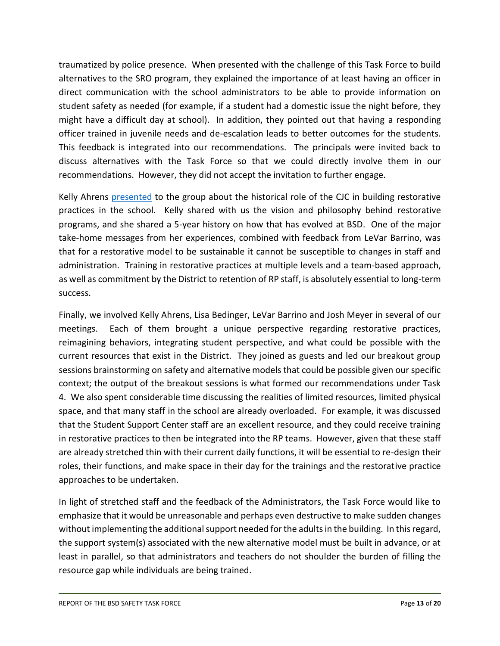traumatized by police presence. When presented with the challenge of this Task Force to build alternatives to the SRO program, they explained the importance of at least having an officer in direct communication with the school administrators to be able to provide information on student safety as needed (for example, if a student had a domestic issue the night before, they might have a difficult day at school). In addition, they pointed out that having a responding officer trained in juvenile needs and de-escalation leads to better outcomes for the students. This feedback is integrated into our recommendations. The principals were invited back to discuss alternatives with the Task Force so that we could directly involve them in our recommendations. However, they did not accept the invitation to further engage.

Kelly Ahrens [presented](https://docs.google.com/presentation/d/1Y_yk3u3RN8Yt1GfaGqw20aY0Q7Vglg3ah1fGbjlr-vA/edit?usp=sharing) to the group about the historical role of the CJC in building restorative practices in the school. Kelly shared with us the vision and philosophy behind restorative programs, and she shared a 5-year history on how that has evolved at BSD. One of the major take-home messages from her experiences, combined with feedback from LeVar Barrino, was that for a restorative model to be sustainable it cannot be susceptible to changes in staff and administration. Training in restorative practices at multiple levels and a team-based approach, as well as commitment by the District to retention of RP staff, is absolutely essential to long-term success.

Finally, we involved Kelly Ahrens, Lisa Bedinger, LeVar Barrino and Josh Meyer in several of our meetings. Each of them brought a unique perspective regarding restorative practices, reimagining behaviors, integrating student perspective, and what could be possible with the current resources that exist in the District. They joined as guests and led our breakout group sessions brainstorming on safety and alternative models that could be possible given our specific context; the output of the breakout sessions is what formed our recommendations under Task 4. We also spent considerable time discussing the realities of limited resources, limited physical space, and that many staff in the school are already overloaded. For example, it was discussed that the Student Support Center staff are an excellent resource, and they could receive training in restorative practices to then be integrated into the RP teams. However, given that these staff are already stretched thin with their current daily functions, it will be essential to re-design their roles, their functions, and make space in their day for the trainings and the restorative practice approaches to be undertaken.

In light of stretched staff and the feedback of the Administrators, the Task Force would like to emphasize that it would be unreasonable and perhaps even destructive to make sudden changes without implementing the additional support needed for the adults in the building. In this regard, the support system(s) associated with the new alternative model must be built in advance, or at least in parallel, so that administrators and teachers do not shoulder the burden of filling the resource gap while individuals are being trained.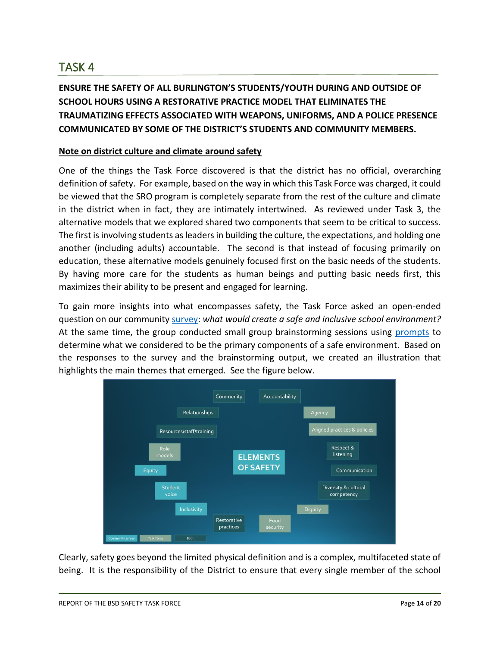**ENSURE THE SAFETY OF ALL BURLINGTON'S STUDENTS/YOUTH DURING AND OUTSIDE OF SCHOOL HOURS USING A RESTORATIVE PRACTICE MODEL THAT ELIMINATES THE TRAUMATIZING EFFECTS ASSOCIATED WITH WEAPONS, UNIFORMS, AND A POLICE PRESENCE COMMUNICATED BY SOME OF THE DISTRICT'S STUDENTS AND COMMUNITY MEMBERS.** 

## **Note on district culture and climate around safety**

One of the things the Task Force discovered is that the district has no official, overarching definition of safety. For example, based on the way in which this Task Force was charged, it could be viewed that the SRO program is completely separate from the rest of the culture and climate in the district when in fact, they are intimately intertwined. As reviewed under Task 3, the alternative models that we explored shared two components that seem to be critical to success. The first is involving students as leaders in building the culture, the expectations, and holding one another (including adults) accountable. The second is that instead of focusing primarily on education, these alternative models genuinely focused first on the basic needs of the students. By having more care for the students as human beings and putting basic needs first, this maximizes their ability to be present and engaged for learning.

To gain more insights into what encompasses safety, the Task Force asked an open-ended question on our community [survey:](https://drive.google.com/file/d/1DoFQsdHK5B7nw4j8enxl9zdX1ns5Btbb/view?usp=sharing) *what would create a safe and inclusive school environment?* At the same time, the group conducted small group brainstorming sessions using [prompts](https://drive.google.com/file/d/1e1zDk4Gr1s-qw4MimR8WvcMKXCJXwEIL/view?usp=sharing) to determine what we considered to be the primary components of a safe environment. Based on the responses to the survey and the brainstorming output, we created an illustration that highlights the main themes that emerged. See the figure below.



Clearly, safety goes beyond the limited physical definition and is a complex, multifaceted state of being. It is the responsibility of the District to ensure that every single member of the school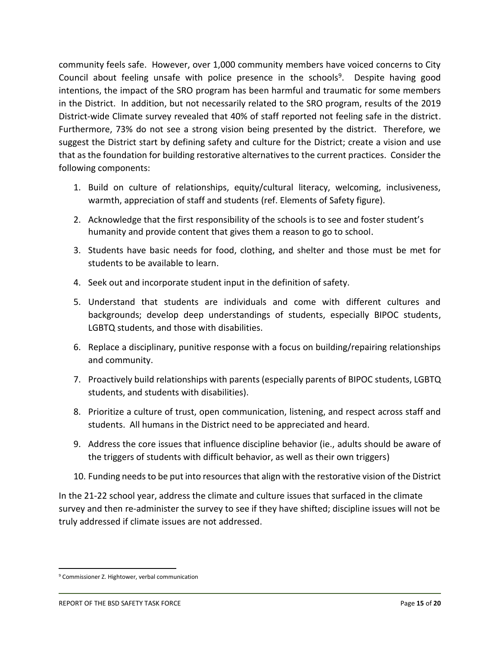community feels safe. However, over 1,000 community members have voiced concerns to City Council about feeling unsafe with police presence in the schools<sup>9</sup>. Despite having good intentions, the impact of the SRO program has been harmful and traumatic for some members in the District. In addition, but not necessarily related to the SRO program, results of the 2019 District-wide Climate survey revealed that 40% of staff reported not feeling safe in the district. Furthermore, 73% do not see a strong vision being presented by the district. Therefore, we suggest the District start by defining safety and culture for the District; create a vision and use that as the foundation for building restorative alternatives to the current practices. Consider the following components:

- 1. Build on culture of relationships, equity/cultural literacy, welcoming, inclusiveness, warmth, appreciation of staff and students (ref. Elements of Safety figure).
- 2. Acknowledge that the first responsibility of the schools is to see and foster student's humanity and provide content that gives them a reason to go to school.
- 3. Students have basic needs for food, clothing, and shelter and those must be met for students to be available to learn.
- 4. Seek out and incorporate student input in the definition of safety.
- 5. Understand that students are individuals and come with different cultures and backgrounds; develop deep understandings of students, especially BIPOC students, LGBTQ students, and those with disabilities.
- 6. Replace a disciplinary, punitive response with a focus on building/repairing relationships and community.
- 7. Proactively build relationships with parents (especially parents of BIPOC students, LGBTQ students, and students with disabilities).
- 8. Prioritize a culture of trust, open communication, listening, and respect across staff and students. All humans in the District need to be appreciated and heard.
- 9. Address the core issues that influence discipline behavior (ie., adults should be aware of the triggers of students with difficult behavior, as well as their own triggers)
- 10. Funding needs to be put into resources that align with the restorative vision of the District

In the 21-22 school year, address the climate and culture issues that surfaced in the climate survey and then re-administer the survey to see if they have shifted; discipline issues will not be truly addressed if climate issues are not addressed.

<sup>&</sup>lt;sup>9</sup> Commissioner Z. Hightower, verbal communication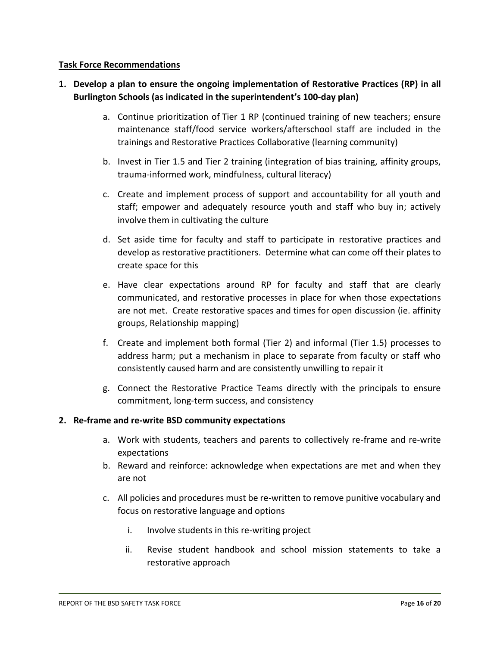### **Task Force Recommendations**

# **1. Develop a plan to ensure the ongoing implementation of Restorative Practices (RP) in all Burlington Schools (as indicated in the superintendent's 100-day plan)**

- a. Continue prioritization of Tier 1 RP (continued training of new teachers; ensure maintenance staff/food service workers/afterschool staff are included in the trainings and Restorative Practices Collaborative (learning community)
- b. Invest in Tier 1.5 and Tier 2 training (integration of bias training, affinity groups, trauma-informed work, mindfulness, cultural literacy)
- c. Create and implement process of support and accountability for all youth and staff; empower and adequately resource youth and staff who buy in; actively involve them in cultivating the culture
- d. Set aside time for faculty and staff to participate in restorative practices and develop as restorative practitioners. Determine what can come off their plates to create space for this
- e. Have clear expectations around RP for faculty and staff that are clearly communicated, and restorative processes in place for when those expectations are not met. Create restorative spaces and times for open discussion (ie. affinity groups, Relationship mapping)
- f. Create and implement both formal (Tier 2) and informal (Tier 1.5) processes to address harm; put a mechanism in place to separate from faculty or staff who consistently caused harm and are consistently unwilling to repair it
- g. Connect the Restorative Practice Teams directly with the principals to ensure commitment, long-term success, and consistency

#### **2. Re-frame and re-write BSD community expectations**

- a. Work with students, teachers and parents to collectively re-frame and re-write expectations
- b. Reward and reinforce: acknowledge when expectations are met and when they are not
- c. All policies and procedures must be re-written to remove punitive vocabulary and focus on restorative language and options
	- i. Involve students in this re-writing project
	- ii. Revise student handbook and school mission statements to take a restorative approach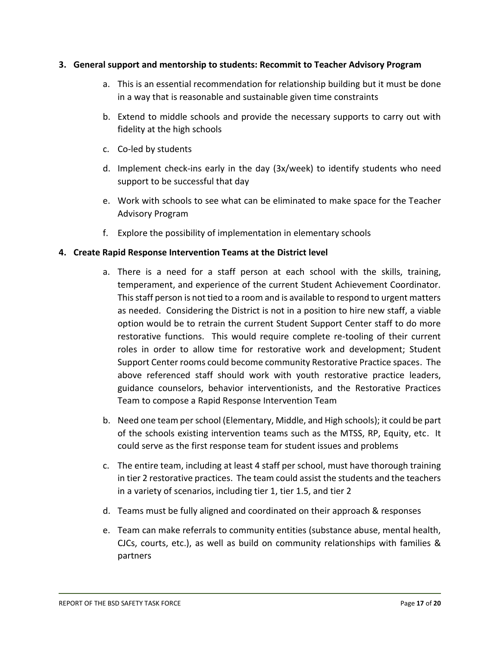#### **3. General support and mentorship to students: Recommit to Teacher Advisory Program**

- a. This is an essential recommendation for relationship building but it must be done in a way that is reasonable and sustainable given time constraints
- b. Extend to middle schools and provide the necessary supports to carry out with fidelity at the high schools
- c. Co-led by students
- d. Implement check-ins early in the day (3x/week) to identify students who need support to be successful that day
- e. Work with schools to see what can be eliminated to make space for the Teacher Advisory Program
- f. Explore the possibility of implementation in elementary schools

# **4. Create Rapid Response Intervention Teams at the District level**

- a. There is a need for a staff person at each school with the skills, training, temperament, and experience of the current Student Achievement Coordinator. This staff person is not tied to a room and is available to respond to urgent matters as needed. Considering the District is not in a position to hire new staff, a viable option would be to retrain the current Student Support Center staff to do more restorative functions. This would require complete re-tooling of their current roles in order to allow time for restorative work and development; Student Support Center rooms could become community Restorative Practice spaces. The above referenced staff should work with youth restorative practice leaders, guidance counselors, behavior interventionists, and the Restorative Practices Team to compose a Rapid Response Intervention Team
- b. Need one team per school (Elementary, Middle, and High schools); it could be part of the schools existing intervention teams such as the MTSS, RP, Equity, etc. It could serve as the first response team for student issues and problems
- c. The entire team, including at least 4 staff per school, must have thorough training in tier 2 restorative practices. The team could assist the students and the teachers in a variety of scenarios, including tier 1, tier 1.5, and tier 2
- d. Teams must be fully aligned and coordinated on their approach & responses
- e. Team can make referrals to community entities (substance abuse, mental health, CJCs, courts, etc.), as well as build on community relationships with families & partners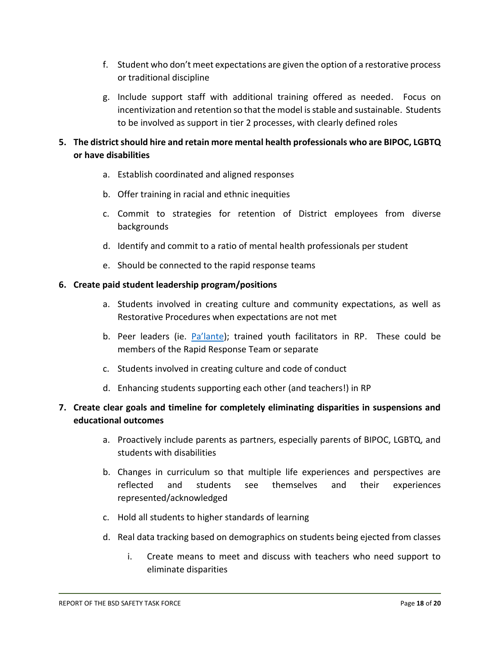- f. Student who don't meet expectations are given the option of a restorative process or traditional discipline
- g. Include support staff with additional training offered as needed. Focus on incentivization and retention so that the model is stable and sustainable. Students to be involved as support in tier 2 processes, with clearly defined roles

# **5. The district should hire and retain more mental health professionals who are BIPOC, LGBTQ or have disabilities**

- a. Establish coordinated and aligned responses
- b. Offer training in racial and ethnic inequities
- c. Commit to strategies for retention of District employees from diverse backgrounds
- d. Identify and commit to a ratio of mental health professionals per student
- e. Should be connected to the rapid response teams

## **6. Create paid student leadership program/positions**

- a. Students involved in creating culture and community expectations, as well as Restorative Procedures when expectations are not met
- b. Peer leaders (ie. Pa'lante); trained youth facilitators in RP. These could be members of the Rapid Response Team or separate
- c. Students involved in creating culture and code of conduct
- d. Enhancing students supporting each other (and teachers!) in RP

# **7. Create clear goals and timeline for completely eliminating disparities in suspensions and educational outcomes**

- a. Proactively include parents as partners, especially parents of BIPOC, LGBTQ, and students with disabilities
- b. Changes in curriculum so that multiple life experiences and perspectives are reflected and students see themselves and their experiences represented/acknowledged
- c. Hold all students to higher standards of learning
- d. Real data tracking based on demographics on students being ejected from classes
	- i. Create means to meet and discuss with teachers who need support to eliminate disparities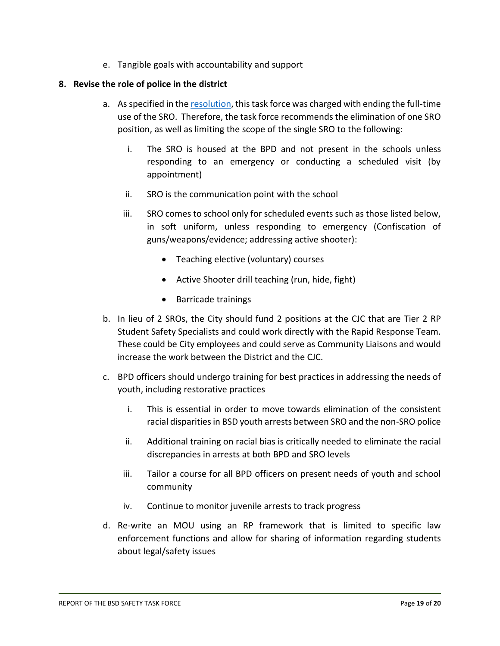e. Tangible goals with accountability and support

#### **8. Revise the role of police in the district**

- a. As specified in th[e resolution,](https://docs.google.com/document/d/1YhTIlw13sCW4FeSSsB2xhBqIy9ZnLWx_tY6bMRGyXps/edit?ts=60257759) this task force was charged with ending the full-time use of the SRO. Therefore, the task force recommends the elimination of one SRO position, as well as limiting the scope of the single SRO to the following:
	- i. The SRO is housed at the BPD and not present in the schools unless responding to an emergency or conducting a scheduled visit (by appointment)
	- ii. SRO is the communication point with the school
	- iii. SRO comes to school only for scheduled events such as those listed below, in soft uniform, unless responding to emergency (Confiscation of guns/weapons/evidence; addressing active shooter):
		- Teaching elective (voluntary) courses
		- Active Shooter drill teaching (run, hide, fight)
		- Barricade trainings
- b. In lieu of 2 SROs, the City should fund 2 positions at the CJC that are Tier 2 RP Student Safety Specialists and could work directly with the Rapid Response Team. These could be City employees and could serve as Community Liaisons and would increase the work between the District and the CJC.
- c. BPD officers should undergo training for best practices in addressing the needs of youth, including restorative practices
	- i. This is essential in order to move towards elimination of the consistent racial disparities in BSD youth arrests between SRO and the non-SRO police
	- ii. Additional training on racial bias is critically needed to eliminate the racial discrepancies in arrests at both BPD and SRO levels
	- iii. Tailor a course for all BPD officers on present needs of youth and school community
	- iv. Continue to monitor juvenile arrests to track progress
- d. Re-write an MOU using an RP framework that is limited to specific law enforcement functions and allow for sharing of information regarding students about legal/safety issues